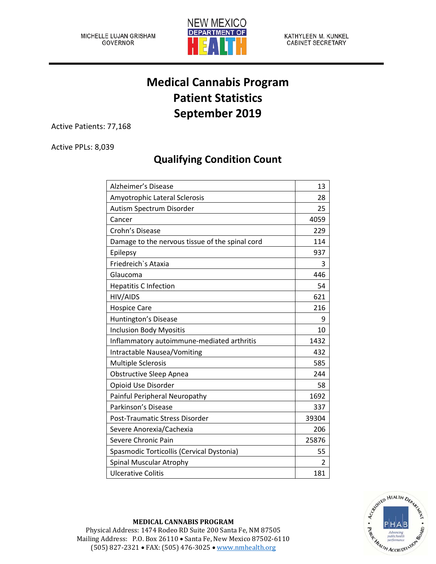

KATHYLEEN M. KUNKEL **CABINET SECRETARY** 

## **Medical Cannabis Program Patient Statistics September 2019**

Active Patients: 77,168

Active PPLs: 8,039

## **Qualifying Condition Count**

| <b>Alzheimer's Disease</b>                      | 13    |
|-------------------------------------------------|-------|
| Amyotrophic Lateral Sclerosis                   | 28    |
| Autism Spectrum Disorder                        | 25    |
| Cancer                                          | 4059  |
| Crohn's Disease                                 | 229   |
| Damage to the nervous tissue of the spinal cord | 114   |
| Epilepsy                                        | 937   |
| Friedreich's Ataxia                             | 3     |
| Glaucoma                                        | 446   |
| <b>Hepatitis C Infection</b>                    | 54    |
| HIV/AIDS                                        | 621   |
| <b>Hospice Care</b>                             | 216   |
| Huntington's Disease                            | 9     |
| <b>Inclusion Body Myositis</b>                  | 10    |
| Inflammatory autoimmune-mediated arthritis      | 1432  |
| Intractable Nausea/Vomiting                     | 432   |
| <b>Multiple Sclerosis</b>                       | 585   |
| <b>Obstructive Sleep Apnea</b>                  | 244   |
| Opioid Use Disorder                             | 58    |
| Painful Peripheral Neuropathy                   | 1692  |
| Parkinson's Disease                             | 337   |
| Post-Traumatic Stress Disorder                  | 39304 |
| Severe Anorexia/Cachexia                        | 206   |
| Severe Chronic Pain                             | 25876 |
| Spasmodic Torticollis (Cervical Dystonia)       | 55    |
| Spinal Muscular Atrophy                         | 2     |
| <b>Ulcerative Colitis</b>                       | 181   |



## **MEDICAL CANNABIS PROGRAM**

Physical Address: 1474 Rodeo RD Suite 200 Santa Fe, NM 87505 Mailing Address: P.O. Box 26110 • Santa Fe, New Mexico 87502-6110 (505) 827-2321 • FAX: (505) 476-3025 • [www.nmhealth.org](http://www.nmhealth.org/)